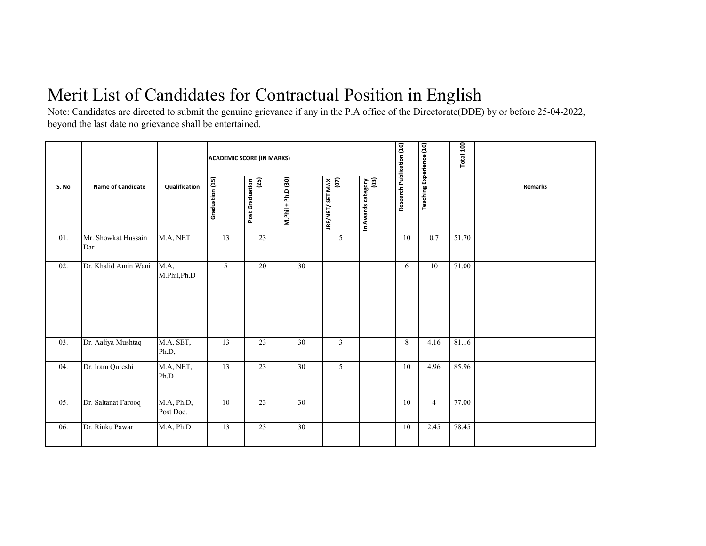## Merit List of Candidates for Contractual Position in English

Note: Candidates are directed to submit the genuine grievance if any in the P.A office of the Directorate(DDE) by or before 25-04-2022, beyond the last date no grievance shall be entertained.

|       | <b>Name of Candidate</b>   | Qualification           | <b>ACADEMIC SCORE (IN MARKS)</b> |                         |                    |                          |                            |                           |                                 | Total 100 |                |
|-------|----------------------------|-------------------------|----------------------------------|-------------------------|--------------------|--------------------------|----------------------------|---------------------------|---------------------------------|-----------|----------------|
| S. No |                            |                         | Graduation (15)                  | (25)<br>Post Graduation | M.Phil + Ph.D (30) | IRF/NET/ SET MAX<br>(07) | In Awards category<br>(03) | Research Publication (10) | <b>Teaching Experience (10)</b> |           | <b>Remarks</b> |
| 01.   | Mr. Showkat Hussain<br>Dar | M.A, NET                | 13                               | 23                      |                    | $\overline{5}$           |                            | 10                        | 0.7                             | 51.70     |                |
| 02.   | Dr. Khalid Amin Wani       | M.A,<br>M.Phil,Ph.D     | 5                                | 20                      | 30                 |                          |                            | 6                         | 10                              | 71.00     |                |
| 03.   | Dr. Aaliya Mushtaq         | M.A, SET,<br>Ph.D,      | 13                               | 23                      | 30                 | $\overline{3}$           |                            | 8                         | 4.16                            | 81.16     |                |
| 04.   | Dr. Iram Qureshi           | M.A, NET,<br>Ph.D       | 13                               | 23                      | 30                 | 5                        |                            | 10                        | 4.96                            | 85.96     |                |
| 05.   | Dr. Saltanat Farooq        | M.A, Ph.D,<br>Post Doc. | 10                               | 23                      | 30                 |                          |                            | 10                        | $\overline{4}$                  | 77.00     |                |
| 06.   | Dr. Rinku Pawar            | M.A, Ph.D               | 13                               | 23                      | 30                 |                          |                            | 10                        | 2.45                            | 78.45     |                |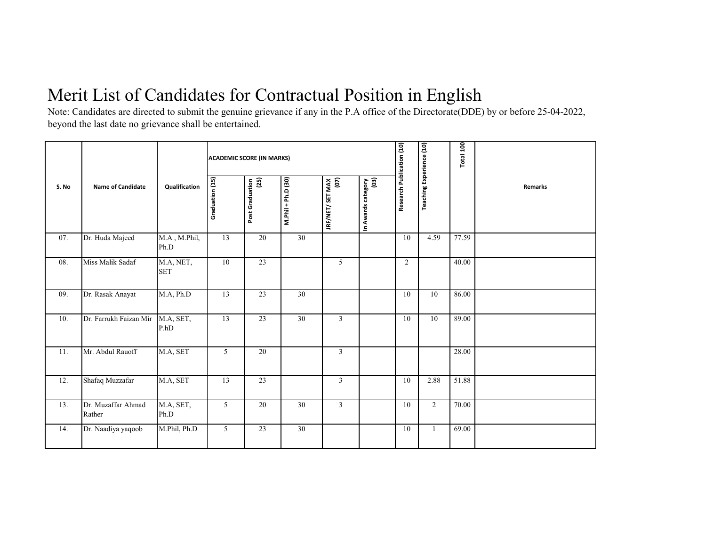## Merit List of Candidates for Contractual Position in English

Note: Candidates are directed to submit the genuine grievance if any in the P.A office of the Directorate(DDE) by or before 25-04-2022, beyond the last date no grievance shall be entertained.

|       | <b>Name of Candidate</b>     | Qualification           | <b>ACADEMIC SCORE (IN MARKS)</b> |                           |                    |                          |                            |                           |                                 | Total 100 |                |
|-------|------------------------------|-------------------------|----------------------------------|---------------------------|--------------------|--------------------------|----------------------------|---------------------------|---------------------------------|-----------|----------------|
| S. No |                              |                         | Graduation (15)                  | $(25)$<br>Post Graduation | M.Phil + Ph.D (30) | JRF/NET/ SET MAX<br>(07) | In Awards category<br>(03) | Research Publication (10) | <b>Teaching Experience (10)</b> |           | <b>Remarks</b> |
| 07.   | Dr. Huda Majeed              | M.A, M.Phil,<br>Ph.D    | 13                               | 20                        | $\overline{30}$    |                          |                            | 10                        | 4.59                            | 77.59     |                |
| 08.   | Miss Malik Sadaf             | M.A, NET,<br><b>SET</b> | 10                               | 23                        |                    | 5                        |                            | $\overline{2}$            |                                 | 40.00     |                |
| 09.   | Dr. Rasak Anayat             | M.A, Ph.D               | 13                               | 23                        | 30                 |                          |                            | 10                        | 10                              | 86.00     |                |
| 10.   | Dr. Farrukh Faizan Mir       | M.A, SET,<br>P.hD       | 13                               | $\overline{23}$           | 30                 | $\overline{3}$           |                            | 10                        | 10                              | 89.00     |                |
| 11.   | Mr. Abdul Rauoff             | M.A, SET                | 5                                | 20                        |                    | $\overline{3}$           |                            |                           |                                 | 28.00     |                |
| 12.   | Shafaq Muzzafar              | M.A, SET                | 13                               | 23                        |                    | $\overline{3}$           |                            | 10                        | 2.88                            | 51.88     |                |
| 13.   | Dr. Muzaffar Ahmad<br>Rather | M.A, SET,<br>Ph.D       | 5                                | 20                        | 30                 | $\overline{3}$           |                            | 10                        | 2                               | 70.00     |                |
| 14.   | Dr. Naadiya yaqoob           | M.Phil, Ph.D            | $5\overline{)}$                  | 23                        | 30                 |                          |                            | 10                        | 1                               | 69.00     |                |